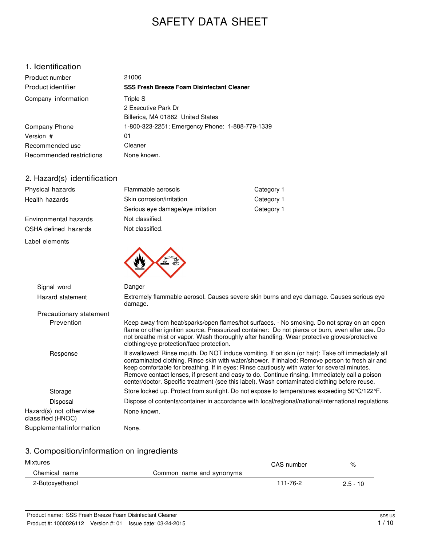# SAFETY DATA SHEET

### 1. Identification

| Product number           | 21006                                             |
|--------------------------|---------------------------------------------------|
| Product identifier       | <b>SSS Fresh Breeze Foam Disinfectant Cleaner</b> |
| Company information      | Triple S                                          |
|                          | 2 Executive Park Dr                               |
|                          | Billerica, MA 01862 United States                 |
| Company Phone            | 1-800-323-2251; Emergency Phone: 1-888-779-1339   |
| Version #                | 01                                                |
| Recommended use          | Cleaner                                           |
| Recommended restrictions | None known.                                       |

### 2. Hazard(s) identification

| Physical hazards      | Flammable aerosols                | Category 1 |  |
|-----------------------|-----------------------------------|------------|--|
| Health hazards        | Skin corrosion/irritation         | Category 1 |  |
|                       | Serious eye damage/eye irritation | Category 1 |  |
| Environmental hazards | Not classified.                   |            |  |
| OSHA defined hazards  | Not classified.                   |            |  |
| Label elements        |                                   |            |  |
|                       |                                   |            |  |

| Signal word                                  | Danger                                                                                                                                                                                                                                                                                                                                                                                                                                                                                                |
|----------------------------------------------|-------------------------------------------------------------------------------------------------------------------------------------------------------------------------------------------------------------------------------------------------------------------------------------------------------------------------------------------------------------------------------------------------------------------------------------------------------------------------------------------------------|
| Hazard statement                             | Extremely flammable aerosol. Causes severe skin burns and eye damage. Causes serious eye<br>damage.                                                                                                                                                                                                                                                                                                                                                                                                   |
| Precautionary statement                      |                                                                                                                                                                                                                                                                                                                                                                                                                                                                                                       |
| Prevention                                   | Keep away from heat/sparks/open flames/hot surfaces. - No smoking. Do not spray on an open<br>flame or other ignition source. Pressurized container: Do not pierce or burn, even after use. Do<br>not breathe mist or vapor. Wash thoroughly after handling. Wear protective gloves/protective<br>clothing/eye protection/face protection.                                                                                                                                                            |
| Response                                     | If swallowed: Rinse mouth. Do NOT induce vomiting. If on skin (or hair): Take off immediately all<br>contaminated clothing. Rinse skin with water/shower. If inhaled: Remove person to fresh air and<br>keep comfortable for breathing. If in eyes: Rinse cautiously with water for several minutes.<br>Remove contact lenses, if present and easy to do. Continue rinsing. Immediately call a poison<br>center/doctor. Specific treatment (see this label). Wash contaminated clothing before reuse. |
| Storage                                      | Store locked up. Protect from sunlight. Do not expose to temperatures exceeding 50 °C/122 °F.                                                                                                                                                                                                                                                                                                                                                                                                         |
| Disposal                                     | Dispose of contents/container in accordance with local/regional/national/international regulations.                                                                                                                                                                                                                                                                                                                                                                                                   |
| Hazard(s) not otherwise<br>classified (HNOC) | None known.                                                                                                                                                                                                                                                                                                                                                                                                                                                                                           |
| Supplemental information                     | None.                                                                                                                                                                                                                                                                                                                                                                                                                                                                                                 |

### 3. Composition/information on ingredients

| Mixtures        |                          | CAS number | %          |
|-----------------|--------------------------|------------|------------|
| Chemical name   | Common name and synonyms |            |            |
| 2-Butoxyethanol |                          | 111-76-2   | $2.5 - 10$ |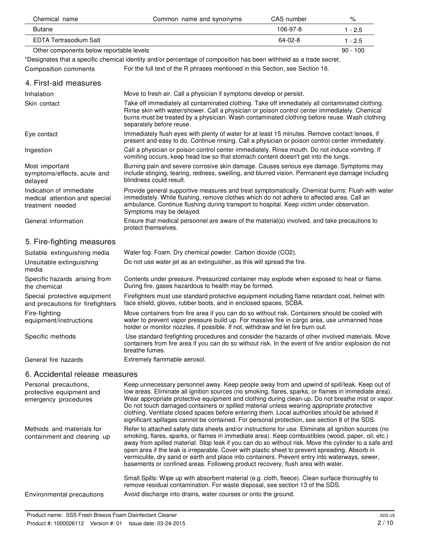| Chemical name                                                                | Common name and synonyms                                                                                                                                                                                                                                                                                                                                                                                                                                                                                                                                                                                  | CAS number | $\%$       |
|------------------------------------------------------------------------------|-----------------------------------------------------------------------------------------------------------------------------------------------------------------------------------------------------------------------------------------------------------------------------------------------------------------------------------------------------------------------------------------------------------------------------------------------------------------------------------------------------------------------------------------------------------------------------------------------------------|------------|------------|
| <b>Butane</b>                                                                |                                                                                                                                                                                                                                                                                                                                                                                                                                                                                                                                                                                                           | 106-97-8   | $1 - 2.5$  |
| <b>EDTA Tertrasodium Salt</b>                                                |                                                                                                                                                                                                                                                                                                                                                                                                                                                                                                                                                                                                           | 64-02-8    | $1 - 2.5$  |
| Other components below reportable levels                                     |                                                                                                                                                                                                                                                                                                                                                                                                                                                                                                                                                                                                           |            | $90 - 100$ |
|                                                                              | *Designates that a specific chemical identity and/or percentage of composition has been withheld as a trade secret.                                                                                                                                                                                                                                                                                                                                                                                                                                                                                       |            |            |
| <b>Composition comments</b>                                                  | For the full text of the R phrases mentioned in this Section, see Section 16.                                                                                                                                                                                                                                                                                                                                                                                                                                                                                                                             |            |            |
| 4. First-aid measures                                                        |                                                                                                                                                                                                                                                                                                                                                                                                                                                                                                                                                                                                           |            |            |
| Inhalation                                                                   | Move to fresh air. Call a physician if symptoms develop or persist.                                                                                                                                                                                                                                                                                                                                                                                                                                                                                                                                       |            |            |
| Skin contact                                                                 | Take off immediately all contaminated clothing. Take off immediately all contaminated clothing.<br>Rinse skin with water/shower. Call a physician or poison control center immediately. Chemical<br>burns must be treated by a physician. Wash contaminated clothing before reuse. Wash clothing<br>separately before reuse.                                                                                                                                                                                                                                                                              |            |            |
| Eye contact                                                                  | Immediately flush eyes with plenty of water for at least 15 minutes. Remove contact lenses, if<br>present and easy to do. Continue rinsing. Call a physician or poison control center immediately.                                                                                                                                                                                                                                                                                                                                                                                                        |            |            |
| Ingestion                                                                    | Call a physician or poison control center immediately. Rinse mouth. Do not induce vomiting. If<br>vomiting occurs, keep head low so that stomach content doesn't get into the lungs.                                                                                                                                                                                                                                                                                                                                                                                                                      |            |            |
| Most important<br>symptoms/effects, acute and<br>delayed                     | Burning pain and severe corrosive skin damage. Causes serious eye damage. Symptoms may<br>include stinging, tearing, redness, swelling, and blurred vision. Permanent eye damage including<br>blindness could result.                                                                                                                                                                                                                                                                                                                                                                                     |            |            |
| Indication of immediate<br>medical attention and special<br>treatment needed | Provide general supportive measures and treat symptomatically. Chemical burns: Flush with water<br>immediately. While flushing, remove clothes which do not adhere to affected area. Call an<br>ambulance. Continue flushing during transport to hospital. Keep victim under observation.<br>Symptoms may be delayed.                                                                                                                                                                                                                                                                                     |            |            |
| General information                                                          | Ensure that medical personnel are aware of the material(s) involved, and take precautions to<br>protect themselves.                                                                                                                                                                                                                                                                                                                                                                                                                                                                                       |            |            |
| 5. Fire-fighting measures                                                    |                                                                                                                                                                                                                                                                                                                                                                                                                                                                                                                                                                                                           |            |            |
| Suitable extinguishing media                                                 | Water fog. Foam. Dry chemical powder. Carbon dioxide (CO2).                                                                                                                                                                                                                                                                                                                                                                                                                                                                                                                                               |            |            |
| Unsuitable extinguishing<br>media                                            | Do not use water jet as an extinguisher, as this will spread the fire.                                                                                                                                                                                                                                                                                                                                                                                                                                                                                                                                    |            |            |
| Specific hazards arising from<br>the chemical                                | Contents under pressure. Pressurized container may explode when exposed to heat or flame.<br>During fire, gases hazardous to health may be formed.                                                                                                                                                                                                                                                                                                                                                                                                                                                        |            |            |
| Special protective equipment<br>and precautions for firefighters             | Firefighters must use standard protective equipment including flame retardant coat, helmet with<br>face shield, gloves, rubber boots, and in enclosed spaces, SCBA.                                                                                                                                                                                                                                                                                                                                                                                                                                       |            |            |
| Fire-fighting<br>equipment/instructions                                      | Move containers from fire area if you can do so without risk. Containers should be cooled with<br>water to prevent vapor pressure build up. For massive fire in cargo area, use unmanned hose<br>holder or monitor nozzles, if possible. If not, withdraw and let fire burn out.                                                                                                                                                                                                                                                                                                                          |            |            |
| Specific methods                                                             | Use standard firefighting procedures and consider the hazards of other involved materials. Move<br>containers from fire area if you can do so without risk. In the event of fire and/or explosion do not<br>breathe fumes.                                                                                                                                                                                                                                                                                                                                                                                |            |            |
| General fire hazards                                                         | Extremely flammable aerosol.                                                                                                                                                                                                                                                                                                                                                                                                                                                                                                                                                                              |            |            |
| 6. Accidental release measures                                               |                                                                                                                                                                                                                                                                                                                                                                                                                                                                                                                                                                                                           |            |            |
| Personal precautions,<br>protective equipment and<br>emergency procedures    | Keep unnecessary personnel away. Keep people away from and upwind of spill/leak. Keep out of<br>low areas. Eliminate all ignition sources (no smoking, flares, sparks, or flames in immediate area).<br>Wear appropriate protective equipment and clothing during clean-up. Do not breathe mist or vapor.<br>Do not touch damaged containers or spilled material unless wearing appropriate protective<br>clothing. Ventilate closed spaces before entering them. Local authorities should be advised if<br>significant spillages cannot be contained. For personal protection, see section 8 of the SDS. |            |            |
| Methods and materials for<br>containment and cleaning up                     | Refer to attached safety data sheets and/or instructions for use. Eliminate all ignition sources (no<br>smoking, flares, sparks, or flames in immediate area). Keep combustibles (wood, paper, oil, etc.)<br>away from spilled material. Stop leak if you can do so without risk. Move the cylinder to a safe and<br>open area if the leak is irreparable. Cover with plastic sheet to prevent spreading. Absorb in<br>vermiculite, dry sand or earth and place into containers. Prevent entry into waterways, sewer,<br>basements or confined areas. Following product recovery, flush area with water.  |            |            |
|                                                                              | Small Spills: Wipe up with absorbent material (e.g. cloth, fleece). Clean surface thoroughly to<br>remove residual contamination. For waste disposal, see section 13 of the SDS.                                                                                                                                                                                                                                                                                                                                                                                                                          |            |            |
| Environmental precautions                                                    | Avoid discharge into drains, water courses or onto the ground.                                                                                                                                                                                                                                                                                                                                                                                                                                                                                                                                            |            |            |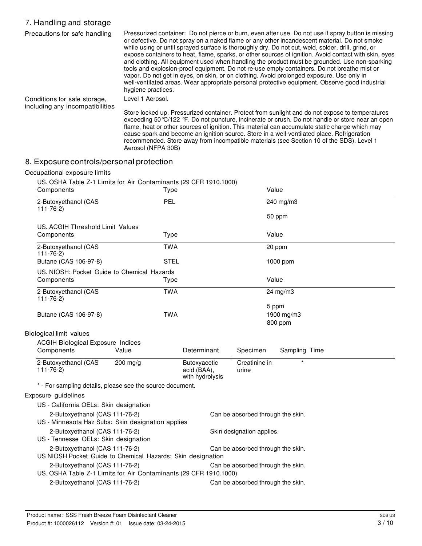### 7. Handling and storage

| Precautions for safe handling                                   | Pressurized container: Do not pierce or burn, even after use. Do not use if spray button is missing<br>or defective. Do not spray on a naked flame or any other incandescent material. Do not smoke<br>while using or until sprayed surface is thoroughly dry. Do not cut, weld, solder, drill, grind, or<br>expose containers to heat, flame, sparks, or other sources of ignition. Avoid contact with skin, eyes<br>and clothing. All equipment used when handling the product must be grounded. Use non-sparking<br>tools and explosion-proof equipment. Do not re-use empty containers. Do not breathe mist or<br>vapor. Do not get in eyes, on skin, or on clothing. Avoid prolonged exposure. Use only in<br>well-ventilated areas. Wear appropriate personal protective equipment. Observe good industrial<br>hygiene practices. |
|-----------------------------------------------------------------|-----------------------------------------------------------------------------------------------------------------------------------------------------------------------------------------------------------------------------------------------------------------------------------------------------------------------------------------------------------------------------------------------------------------------------------------------------------------------------------------------------------------------------------------------------------------------------------------------------------------------------------------------------------------------------------------------------------------------------------------------------------------------------------------------------------------------------------------|
| Conditions for safe storage,<br>including any incompatibilities | Level 1 Aerosol.                                                                                                                                                                                                                                                                                                                                                                                                                                                                                                                                                                                                                                                                                                                                                                                                                        |
|                                                                 | Store locked up. Pressurized container. Protect from sunlight and do not expose to temperatures<br>exceeding 50 °C/122 °F. Do not puncture, incinerate or crush. Do not handle or store near an open<br>flame, heat or other sources of ignition. This material can accumulate static charge which may<br>cause spark and become an ignition source. Store in a well-ventilated place. Refrigeration<br>recommended. Store away from incompatible materials (see Section 10 of the SDS). Level 1<br>Aerosol (NFPA 30B)                                                                                                                                                                                                                                                                                                                  |

### 8. Exposure controls/personal protection

#### Occupational exposure limits

US. OSHA Table Z-1 Limits for Air Contaminants (29 CFR 1910.1000)

| Components                                                                                          |            | Type        |                                                |                                   | Value  |                       |  |
|-----------------------------------------------------------------------------------------------------|------------|-------------|------------------------------------------------|-----------------------------------|--------|-----------------------|--|
| 2-Butoxyethanol (CAS<br>$111 - 76 - 2$                                                              |            | PEL         |                                                |                                   |        | 240 mg/m3             |  |
|                                                                                                     |            |             |                                                |                                   | 50 ppm |                       |  |
| US. ACGIH Threshold Limit Values                                                                    |            |             |                                                |                                   |        |                       |  |
| Components                                                                                          |            | Type        |                                                |                                   | Value  |                       |  |
| 2-Butoxyethanol (CAS<br>$111 - 76 - 2$                                                              |            | <b>TWA</b>  |                                                |                                   | 20 ppm |                       |  |
| Butane (CAS 106-97-8)                                                                               |            | <b>STEL</b> |                                                |                                   |        | 1000 ppm              |  |
| US. NIOSH: Pocket Guide to Chemical Hazards                                                         |            |             |                                                |                                   |        |                       |  |
| Components                                                                                          |            | Type        |                                                |                                   | Value  |                       |  |
| 2-Butoxyethanol (CAS<br>$111 - 76 - 2$                                                              |            | <b>TWA</b>  |                                                |                                   |        | 24 mg/m3              |  |
| Butane (CAS 106-97-8)                                                                               |            | <b>TWA</b>  |                                                |                                   | 5 ppm  | 1900 mg/m3<br>800 ppm |  |
| Biological limit values                                                                             |            |             |                                                |                                   |        |                       |  |
| <b>ACGIH Biological Exposure Indices</b>                                                            |            |             |                                                |                                   |        |                       |  |
| Components                                                                                          | Value      |             | Determinant                                    | Specimen                          |        | Sampling Time         |  |
| 2-Butoxyethanol (CAS<br>$111 - 76 - 2$                                                              | $200$ mg/g |             | Butoxyacetic<br>acid (BAA),<br>with hydrolysis | Creatinine in<br>urine            |        | $\star$               |  |
| * - For sampling details, please see the source document.                                           |            |             |                                                |                                   |        |                       |  |
| Exposure guidelines                                                                                 |            |             |                                                |                                   |        |                       |  |
| US - California OELs: Skin designation                                                              |            |             |                                                |                                   |        |                       |  |
| 2-Butoxyethanol (CAS 111-76-2)<br>US - Minnesota Haz Subs: Skin designation applies                 |            |             |                                                | Can be absorbed through the skin. |        |                       |  |
| 2-Butoxyethanol (CAS 111-76-2)<br>US - Tennesse OELs: Skin designation                              |            |             |                                                | Skin designation applies.         |        |                       |  |
| 2-Butoxyethanol (CAS 111-76-2)<br>US NIOSH Pocket Guide to Chemical Hazards: Skin designation       |            |             |                                                | Can be absorbed through the skin. |        |                       |  |
| 2-Butoxyethanol (CAS 111-76-2)<br>US. OSHA Table Z-1 Limits for Air Contaminants (29 CFR 1910.1000) |            |             |                                                | Can be absorbed through the skin. |        |                       |  |
| 2-Butoxyethanol (CAS 111-76-2)                                                                      |            |             |                                                | Can be absorbed through the skin. |        |                       |  |
|                                                                                                     |            |             |                                                |                                   |        |                       |  |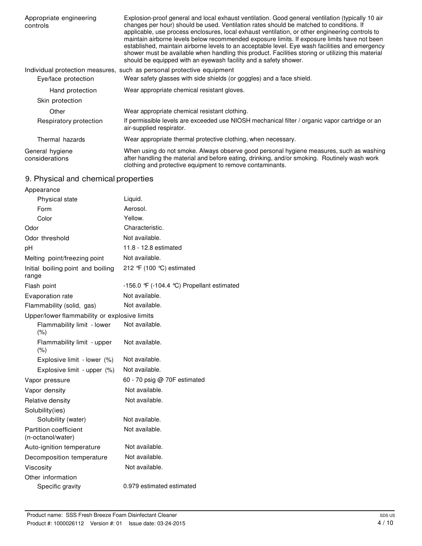| Appropriate engineering<br>controls | Explosion-proof general and local exhaust ventilation. Good general ventilation (typically 10 air<br>changes per hour) should be used. Ventilation rates should be matched to conditions. If<br>applicable, use process enclosures, local exhaust ventilation, or other engineering controls to<br>maintain airborne levels below recommended exposure limits. If exposure limits have not been<br>established, maintain airborne levels to an acceptable level. Eye wash facilities and emergency<br>shower must be available when handling this product. Facilities storing or utilizing this material<br>should be equipped with an eyewash facility and a safety shower. |  |  |
|-------------------------------------|------------------------------------------------------------------------------------------------------------------------------------------------------------------------------------------------------------------------------------------------------------------------------------------------------------------------------------------------------------------------------------------------------------------------------------------------------------------------------------------------------------------------------------------------------------------------------------------------------------------------------------------------------------------------------|--|--|
|                                     | Individual protection measures, such as personal protective equipment                                                                                                                                                                                                                                                                                                                                                                                                                                                                                                                                                                                                        |  |  |
| Eye/face protection                 | Wear safety glasses with side shields (or goggles) and a face shield.                                                                                                                                                                                                                                                                                                                                                                                                                                                                                                                                                                                                        |  |  |
| Hand protection                     | Wear appropriate chemical resistant gloves.                                                                                                                                                                                                                                                                                                                                                                                                                                                                                                                                                                                                                                  |  |  |
| Skin protection                     |                                                                                                                                                                                                                                                                                                                                                                                                                                                                                                                                                                                                                                                                              |  |  |
| Other                               | Wear appropriate chemical resistant clothing.                                                                                                                                                                                                                                                                                                                                                                                                                                                                                                                                                                                                                                |  |  |
| Respiratory protection              | If permissible levels are exceeded use NIOSH mechanical filter / organic vapor cartridge or an<br>air-supplied respirator.                                                                                                                                                                                                                                                                                                                                                                                                                                                                                                                                                   |  |  |
| Thermal hazards                     | Wear appropriate thermal protective clothing, when necessary.                                                                                                                                                                                                                                                                                                                                                                                                                                                                                                                                                                                                                |  |  |
| General hygiene<br>considerations   | When using do not smoke. Always observe good personal hygiene measures, such as washing<br>after handling the material and before eating, drinking, and/or smoking. Routinely wash work<br>clothing and protective equipment to remove contaminants.                                                                                                                                                                                                                                                                                                                                                                                                                         |  |  |

# 9. Physical and chemical properties

| Appearance                                        |                                            |
|---------------------------------------------------|--------------------------------------------|
| <b>Physical state</b>                             | Liquid.                                    |
| Form                                              | Aerosol.                                   |
| Color                                             | Yellow.                                    |
| Odor                                              | Characteristic.                            |
| Odor threshold                                    | Not available.                             |
| pH                                                | 11.8 - 12.8 estimated                      |
| Melting point/freezing point                      | Not available.                             |
| Initial boiling point and boiling<br>range        | 212 °F (100 °C) estimated                  |
| Flash point                                       | -156.0 °F (-104.4 °C) Propellant estimated |
| Evaporation rate                                  | Not available.                             |
| Flammability (solid, gas)                         | Not available.                             |
| Upper/lower flammability or explosive limits      |                                            |
| Flammability limit - lower<br>(% )                | Not available.                             |
| Flammability limit - upper<br>(% )                | Not available.                             |
| Explosive limit - lower (%)                       | Not available.                             |
| Explosive limit - upper (%)                       | Not available.                             |
| Vapor pressure                                    | 60 - 70 psig @ 70F estimated               |
| Vapor density                                     | Not available.                             |
| Relative density                                  | Not available.                             |
| Solubility(ies)                                   |                                            |
| Solubility (water)                                | Not available.                             |
| <b>Partition coefficient</b><br>(n-octanol/water) | Not available.                             |
| Auto-ignition temperature                         | Not available.                             |
| Decomposition temperature                         | Not available.                             |
| Viscosity                                         | Not available.                             |
| Other information                                 |                                            |
| Specific gravity                                  | 0.979 estimated estimated                  |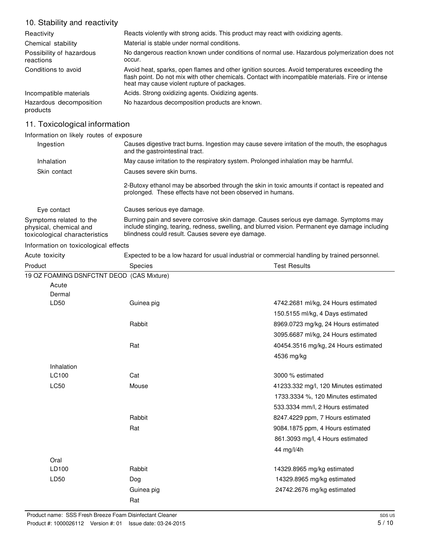### 10. Stability and reactivity

| Reactivity                            | Reacts violently with strong acids. This product may react with oxidizing agents.                                                                                                                                                                 |
|---------------------------------------|---------------------------------------------------------------------------------------------------------------------------------------------------------------------------------------------------------------------------------------------------|
| Chemical stability                    | Material is stable under normal conditions.                                                                                                                                                                                                       |
| Possibility of hazardous<br>reactions | No dangerous reaction known under conditions of normal use. Hazardous polymerization does not<br>occur.                                                                                                                                           |
| Conditions to avoid                   | Avoid heat, sparks, open flames and other ignition sources. Avoid temperatures exceeding the<br>flash point. Do not mix with other chemicals. Contact with incompatible materials. Fire or intense<br>heat may cause violent rupture of packages. |
| Incompatible materials                | Acids. Strong oxidizing agents. Oxidizing agents.                                                                                                                                                                                                 |
| Hazardous decomposition<br>products   | No hazardous decomposition products are known.                                                                                                                                                                                                    |

### 11. Toxicological information

#### Information on likely routes of exposure

| Ingestion                                                                          | Causes digestive tract burns. Ingestion may cause severe irritation of the mouth, the esophagus<br>and the gastrointestinal tract.                                                                                                              |
|------------------------------------------------------------------------------------|-------------------------------------------------------------------------------------------------------------------------------------------------------------------------------------------------------------------------------------------------|
| Inhalation                                                                         | May cause irritation to the respiratory system. Prolonged inhalation may be harmful.                                                                                                                                                            |
| Skin contact                                                                       | Causes severe skin burns.                                                                                                                                                                                                                       |
|                                                                                    | 2-Butoxy ethanol may be absorbed through the skin in toxic amounts if contact is repeated and<br>prolonged. These effects have not been observed in humans.                                                                                     |
| Eye contact                                                                        | Causes serious eye damage.                                                                                                                                                                                                                      |
| Symptoms related to the<br>physical, chemical and<br>toxicological characteristics | Burning pain and severe corrosive skin damage. Causes serious eye damage. Symptoms may<br>include stinging, tearing, redness, swelling, and blurred vision. Permanent eye damage including<br>blindness could result. Causes severe eye damage. |

### Information on toxicological effects

| Acute toxicity | Expected to be a low hazard for usual industrial or commercial handling by trained personnel. |                                       |  |  |
|----------------|-----------------------------------------------------------------------------------------------|---------------------------------------|--|--|
| Product        | <b>Species</b>                                                                                | <b>Test Results</b>                   |  |  |
|                | 19 OZ FOAMING DSNFCTNT DEOD (CAS Mixture)                                                     |                                       |  |  |
| Acute          |                                                                                               |                                       |  |  |
| Dermal         |                                                                                               |                                       |  |  |
| LD50           | Guinea pig                                                                                    | 4742.2681 ml/kg, 24 Hours estimated   |  |  |
|                |                                                                                               | 150.5155 ml/kg, 4 Days estimated      |  |  |
|                | Rabbit                                                                                        | 8969.0723 mg/kg, 24 Hours estimated   |  |  |
|                |                                                                                               | 3095.6687 ml/kg, 24 Hours estimated   |  |  |
|                | Rat                                                                                           | 40454.3516 mg/kg, 24 Hours estimated  |  |  |
|                |                                                                                               | 4536 mg/kg                            |  |  |
| Inhalation     |                                                                                               |                                       |  |  |
| LC100          | Cat                                                                                           | 3000 % estimated                      |  |  |
| LC50           | Mouse                                                                                         | 41233.332 mg/l, 120 Minutes estimated |  |  |
|                |                                                                                               | 1733.3334 %, 120 Minutes estimated    |  |  |
|                |                                                                                               | 533.3334 mm/l, 2 Hours estimated      |  |  |
|                | Rabbit                                                                                        | 8247.4229 ppm, 7 Hours estimated      |  |  |
|                | Rat                                                                                           | 9084.1875 ppm, 4 Hours estimated      |  |  |
|                |                                                                                               | 861.3093 mg/l, 4 Hours estimated      |  |  |
|                |                                                                                               | 44 mg/l/4h                            |  |  |
| Oral           |                                                                                               |                                       |  |  |
| LD100          | Rabbit                                                                                        | 14329.8965 mg/kg estimated            |  |  |
| LD50           | Dog                                                                                           | 14329.8965 mg/kg estimated            |  |  |
|                | Guinea pig                                                                                    | 24742.2676 mg/kg estimated            |  |  |
|                | Rat                                                                                           |                                       |  |  |
|                |                                                                                               |                                       |  |  |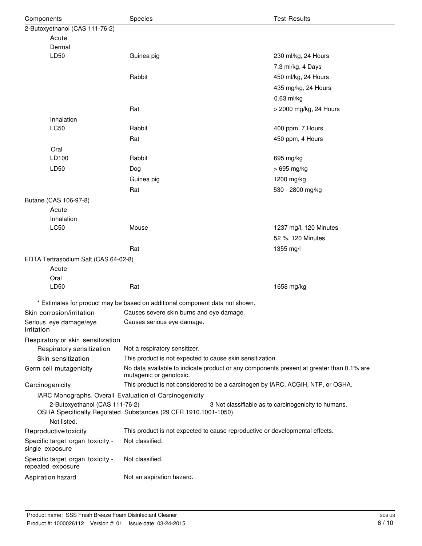| Components                                             | Species                                                                                                             | <b>Test Results</b>                                 |  |
|--------------------------------------------------------|---------------------------------------------------------------------------------------------------------------------|-----------------------------------------------------|--|
| 2-Butoxyethanol (CAS 111-76-2)                         |                                                                                                                     |                                                     |  |
| Acute                                                  |                                                                                                                     |                                                     |  |
| Dermal                                                 |                                                                                                                     |                                                     |  |
| LD50                                                   | Guinea pig                                                                                                          | 230 ml/kg, 24 Hours                                 |  |
|                                                        |                                                                                                                     | 7.3 ml/kg, 4 Days                                   |  |
|                                                        | Rabbit                                                                                                              | 450 ml/kg, 24 Hours                                 |  |
|                                                        |                                                                                                                     | 435 mg/kg, 24 Hours                                 |  |
|                                                        |                                                                                                                     | $0.63$ ml/kg                                        |  |
|                                                        | Rat                                                                                                                 | > 2000 mg/kg, 24 Hours                              |  |
| Inhalation                                             |                                                                                                                     |                                                     |  |
| LC50                                                   | Rabbit                                                                                                              | 400 ppm, 7 Hours                                    |  |
|                                                        | Rat                                                                                                                 | 450 ppm, 4 Hours                                    |  |
| Oral                                                   |                                                                                                                     |                                                     |  |
| LD100                                                  | Rabbit                                                                                                              | 695 mg/kg                                           |  |
| LD50                                                   | Dog                                                                                                                 | > 695 mg/kg                                         |  |
|                                                        | Guinea pig                                                                                                          | 1200 mg/kg                                          |  |
|                                                        | Rat                                                                                                                 | 530 - 2800 mg/kg                                    |  |
| Butane (CAS 106-97-8)                                  |                                                                                                                     |                                                     |  |
| Acute                                                  |                                                                                                                     |                                                     |  |
| Inhalation                                             |                                                                                                                     |                                                     |  |
| LC50                                                   | Mouse                                                                                                               | 1237 mg/l, 120 Minutes                              |  |
|                                                        |                                                                                                                     | 52 %, 120 Minutes                                   |  |
|                                                        | Rat                                                                                                                 | 1355 mg/l                                           |  |
| EDTA Tertrasodium Salt (CAS 64-02-8)                   |                                                                                                                     |                                                     |  |
| Acute                                                  |                                                                                                                     |                                                     |  |
| Oral                                                   |                                                                                                                     |                                                     |  |
| LD50                                                   | Rat                                                                                                                 | 1658 mg/kg                                          |  |
|                                                        | * Estimates for product may be based on additional component data not shown.                                        |                                                     |  |
| Skin corrosion/irritation                              | Causes severe skin burns and eye damage.                                                                            |                                                     |  |
| Serious eye damage/eye                                 | Causes serious eye damage.                                                                                          |                                                     |  |
| irritation                                             |                                                                                                                     |                                                     |  |
| Respiratory or skin sensitization                      |                                                                                                                     |                                                     |  |
| Respiratory sensitization                              | Not a respiratory sensitizer.                                                                                       |                                                     |  |
| Skin sensitization                                     | This product is not expected to cause skin sensitization.                                                           |                                                     |  |
| Germ cell mutagenicity                                 | No data available to indicate product or any components present at greater than 0.1% are<br>mutagenic or genotoxic. |                                                     |  |
| Carcinogenicity                                        | This product is not considered to be a carcinogen by IARC, ACGIH, NTP, or OSHA.                                     |                                                     |  |
| IARC Monographs. Overall Evaluation of Carcinogenicity |                                                                                                                     |                                                     |  |
| 2-Butoxyethanol (CAS 111-76-2)                         |                                                                                                                     | 3 Not classifiable as to carcinogenicity to humans. |  |
| Not listed.                                            | OSHA Specifically Regulated Substances (29 CFR 1910.1001-1050)                                                      |                                                     |  |
| Reproductive toxicity                                  | This product is not expected to cause reproductive or developmental effects.                                        |                                                     |  |
| Specific target organ toxicity -<br>single exposure    | Not classified.                                                                                                     |                                                     |  |
| Specific target organ toxicity -<br>repeated exposure  | Not classified.                                                                                                     |                                                     |  |
| Aspiration hazard                                      | Not an aspiration hazard.                                                                                           |                                                     |  |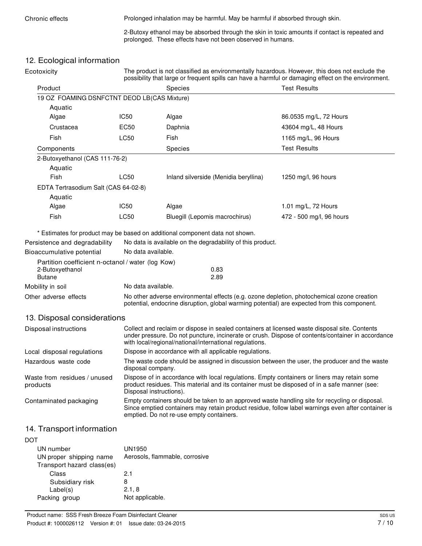Chronic effects **Prolonged inhalation may be harmful. May be harmful if absorbed through skin.** 

2-Butoxy ethanol may be absorbed through the skin in toxic amounts if contact is repeated and prolonged. These effects have not been observed in humans.

### 12. Ecological information

| Ecotoxicity |
|-------------|
|-------------|

The product is not classified as environmentally hazardous. However, this does not exclude the possibility that large or frequent spills can have a harmful or damaging effect on the environment.

| Product                                                                                                            |                                                                                                                                                                                                                                                  |                                                                                                                                                                                                                        | <b>Test Results</b>                                                                               |  |  |
|--------------------------------------------------------------------------------------------------------------------|--------------------------------------------------------------------------------------------------------------------------------------------------------------------------------------------------------------------------------------------------|------------------------------------------------------------------------------------------------------------------------------------------------------------------------------------------------------------------------|---------------------------------------------------------------------------------------------------|--|--|
|                                                                                                                    | Species                                                                                                                                                                                                                                          |                                                                                                                                                                                                                        |                                                                                                   |  |  |
| 19 OZ FOAMING DSNFCTNT DEOD LB(CAS Mixture)                                                                        |                                                                                                                                                                                                                                                  |                                                                                                                                                                                                                        |                                                                                                   |  |  |
| Aquatic<br>Algae                                                                                                   | IC <sub>50</sub>                                                                                                                                                                                                                                 | Algae                                                                                                                                                                                                                  | 86.0535 mg/L, 72 Hours                                                                            |  |  |
| Crustacea                                                                                                          | EC50                                                                                                                                                                                                                                             | Daphnia                                                                                                                                                                                                                | 43604 mg/L, 48 Hours                                                                              |  |  |
| Fish                                                                                                               | <b>LC50</b>                                                                                                                                                                                                                                      | Fish                                                                                                                                                                                                                   | 1165 mg/L, 96 Hours                                                                               |  |  |
|                                                                                                                    |                                                                                                                                                                                                                                                  |                                                                                                                                                                                                                        |                                                                                                   |  |  |
| Components                                                                                                         |                                                                                                                                                                                                                                                  | <b>Species</b>                                                                                                                                                                                                         | <b>Test Results</b>                                                                               |  |  |
| 2-Butoxyethanol (CAS 111-76-2)                                                                                     |                                                                                                                                                                                                                                                  |                                                                                                                                                                                                                        |                                                                                                   |  |  |
| Aquatic<br>Fish                                                                                                    | <b>LC50</b>                                                                                                                                                                                                                                      | Inland silverside (Menidia beryllina)                                                                                                                                                                                  | 1250 mg/l, 96 hours                                                                               |  |  |
|                                                                                                                    |                                                                                                                                                                                                                                                  |                                                                                                                                                                                                                        |                                                                                                   |  |  |
| EDTA Tertrasodium Salt (CAS 64-02-8)<br>Aquatic                                                                    |                                                                                                                                                                                                                                                  |                                                                                                                                                                                                                        |                                                                                                   |  |  |
| Algae                                                                                                              | IC <sub>50</sub>                                                                                                                                                                                                                                 | Algae                                                                                                                                                                                                                  | 1.01 mg/L, 72 Hours                                                                               |  |  |
| Fish                                                                                                               | <b>LC50</b>                                                                                                                                                                                                                                      | Bluegill (Lepomis macrochirus)                                                                                                                                                                                         | 472 - 500 mg/l, 96 hours                                                                          |  |  |
|                                                                                                                    |                                                                                                                                                                                                                                                  |                                                                                                                                                                                                                        |                                                                                                   |  |  |
| Bioaccumulative potential<br>Partition coefficient n-octanol / water (log Kow)<br>2-Butoxyethanol<br><b>Butane</b> | No data available.                                                                                                                                                                                                                               | 0.83<br>2.89                                                                                                                                                                                                           |                                                                                                   |  |  |
| Mobility in soil                                                                                                   |                                                                                                                                                                                                                                                  | No data available.                                                                                                                                                                                                     |                                                                                                   |  |  |
| Other adverse effects                                                                                              |                                                                                                                                                                                                                                                  | No other adverse environmental effects (e.g. ozone depletion, photochemical ozone creation<br>potential, endocrine disruption, global warming potential) are expected from this component.                             |                                                                                                   |  |  |
| 13. Disposal considerations                                                                                        |                                                                                                                                                                                                                                                  |                                                                                                                                                                                                                        |                                                                                                   |  |  |
| Disposal instructions                                                                                              |                                                                                                                                                                                                                                                  | Collect and reclaim or dispose in sealed containers at licensed waste disposal site. Contents<br>with local/regional/national/international regulations.                                                               | under pressure. Do not puncture, incinerate or crush. Dispose of contents/container in accordance |  |  |
| Local disposal regulations                                                                                         |                                                                                                                                                                                                                                                  | Dispose in accordance with all applicable regulations.                                                                                                                                                                 |                                                                                                   |  |  |
| Hazardous waste code                                                                                               | The waste code should be assigned in discussion between the user, the producer and the waste<br>disposal company.                                                                                                                                |                                                                                                                                                                                                                        |                                                                                                   |  |  |
| Waste from residues / unused<br>products                                                                           |                                                                                                                                                                                                                                                  | Dispose of in accordance with local regulations. Empty containers or liners may retain some<br>product residues. This material and its container must be disposed of in a safe manner (see:<br>Disposal instructions). |                                                                                                   |  |  |
| Contaminated packaging                                                                                             | Empty containers should be taken to an approved waste handling site for recycling or disposal.<br>Since emptied containers may retain product residue, follow label warnings even after container is<br>emptied. Do not re-use empty containers. |                                                                                                                                                                                                                        |                                                                                                   |  |  |
| —                                                                                                                  |                                                                                                                                                                                                                                                  |                                                                                                                                                                                                                        |                                                                                                   |  |  |

# 14. Transport information

| UN number                  | UN1950                         |
|----------------------------|--------------------------------|
| UN proper shipping name    | Aerosols, flammable, corrosive |
| Transport hazard class(es) |                                |
| Class                      | 2.1                            |
| Subsidiary risk            | 8                              |
| Label(s)                   | 2.1, 8                         |
| Packing group              | Not applicable.                |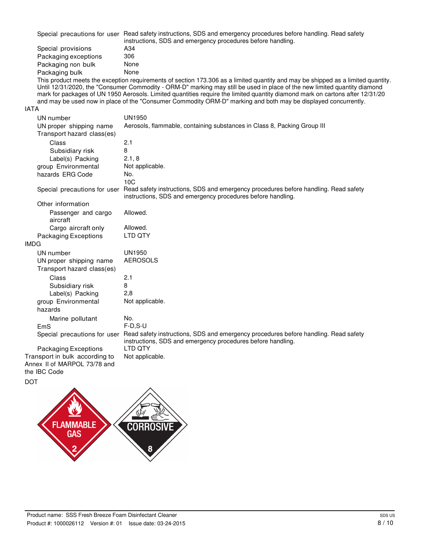| Special precautions for user | Read safety instructions, SDS and emergency procedures before handling. Read safety<br>instructions, SDS and emergency procedures before handling. |
|------------------------------|----------------------------------------------------------------------------------------------------------------------------------------------------|
| Special provisions           | A34                                                                                                                                                |
| Packaging exceptions         | 306                                                                                                                                                |
| Packaging non bulk           | None                                                                                                                                               |
| Packaging bulk               | None                                                                                                                                               |

This product meets the exception requirements of section 173.306 as a limited quantity and may be shipped as a limited quantity. Until 12/31/2020, the "Consumer Commodity - ORM-D" marking may still be used in place of the new limited quantity diamond mark for packages of UN 1950 Aerosols. Limited quantities require the limited quantity diamond mark on cartons after 12/31/20 and may be used now in place of the "Consumer Commodity ORM-D" marking and both may be displayed concurrently.

#### IATA

| UN number                                                      | <b>UN1950</b>                                                                                                                                      |
|----------------------------------------------------------------|----------------------------------------------------------------------------------------------------------------------------------------------------|
| UN proper shipping name                                        | Aerosols, flammable, containing substances in Class 8, Packing Group III                                                                           |
| Transport hazard class(es)                                     |                                                                                                                                                    |
| Class                                                          | 2.1                                                                                                                                                |
| Subsidiary risk                                                | 8                                                                                                                                                  |
| Label(s) Packing                                               | 2.1, 8                                                                                                                                             |
| group Environmental                                            | Not applicable.                                                                                                                                    |
| hazards ERG Code                                               | No.                                                                                                                                                |
|                                                                | 10C                                                                                                                                                |
| Special precautions for user                                   | Read safety instructions, SDS and emergency procedures before handling. Read safety<br>instructions, SDS and emergency procedures before handling. |
| Other information                                              |                                                                                                                                                    |
| Passenger and cargo<br>aircraft                                | Allowed.                                                                                                                                           |
| Cargo aircraft only                                            | Allowed.                                                                                                                                           |
| Packaging Exceptions                                           | LTD QTY                                                                                                                                            |
| <b>IMDG</b>                                                    |                                                                                                                                                    |
| UN number                                                      | UN1950                                                                                                                                             |
| UN proper shipping name                                        | <b>AEROSOLS</b>                                                                                                                                    |
| Transport hazard class(es)                                     |                                                                                                                                                    |
| Class                                                          | 2.1                                                                                                                                                |
| Subsidiary risk                                                | 8                                                                                                                                                  |
| Label(s) Packing                                               | 2,8                                                                                                                                                |
| group Environmental                                            | Not applicable.                                                                                                                                    |
| hazards                                                        |                                                                                                                                                    |
| Marine pollutant                                               | No.                                                                                                                                                |
| EmS                                                            | $F-D.S-U$                                                                                                                                          |
| Special precautions for user                                   | Read safety instructions, SDS and emergency procedures before handling. Read safety<br>instructions, SDS and emergency procedures before handling. |
| Packaging Exceptions                                           | <b>LTD OTY</b>                                                                                                                                     |
| Transport in bulk according to<br>Annex II of MARPOL 73/78 and | Not applicable.                                                                                                                                    |
| the IBC Code                                                   |                                                                                                                                                    |

DOT

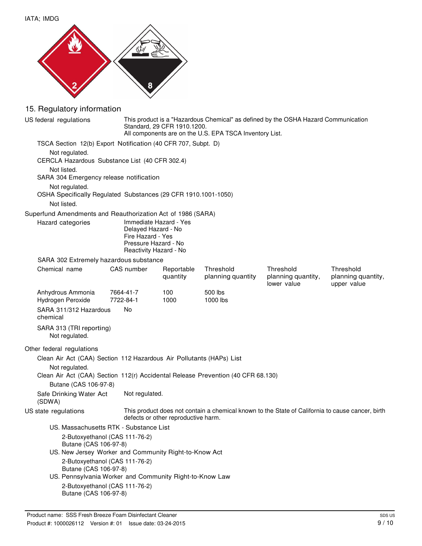



## 15. Regulatory information

| US federal regulations                                                                 |                                                                                                                      | This product is a "Hazardous Chemical" as defined by the OSHA Hazard Communication<br>Standard, 29 CFR 1910.1200.<br>All components are on the U.S. EPA TSCA Inventory List. |                                |                                                                                                  |                                                |
|----------------------------------------------------------------------------------------|----------------------------------------------------------------------------------------------------------------------|------------------------------------------------------------------------------------------------------------------------------------------------------------------------------|--------------------------------|--------------------------------------------------------------------------------------------------|------------------------------------------------|
| TSCA Section 12(b) Export Notification (40 CFR 707, Subpt. D)                          |                                                                                                                      |                                                                                                                                                                              |                                |                                                                                                  |                                                |
| Not regulated.<br>CERCLA Hazardous Substance List (40 CFR 302.4)                       |                                                                                                                      |                                                                                                                                                                              |                                |                                                                                                  |                                                |
| Not listed.<br>SARA 304 Emergency release notification                                 |                                                                                                                      |                                                                                                                                                                              |                                |                                                                                                  |                                                |
| Not regulated.<br>OSHA Specifically Regulated Substances (29 CFR 1910.1001-1050)       |                                                                                                                      |                                                                                                                                                                              |                                |                                                                                                  |                                                |
| Not listed.                                                                            |                                                                                                                      |                                                                                                                                                                              |                                |                                                                                                  |                                                |
| Superfund Amendments and Reauthorization Act of 1986 (SARA)                            |                                                                                                                      |                                                                                                                                                                              |                                |                                                                                                  |                                                |
| Hazard categories                                                                      | Immediate Hazard - Yes<br>Delayed Hazard - No<br>Fire Hazard - Yes<br>Pressure Hazard - No<br>Reactivity Hazard - No |                                                                                                                                                                              |                                |                                                                                                  |                                                |
| SARA 302 Extremely hazardous substance                                                 |                                                                                                                      |                                                                                                                                                                              |                                |                                                                                                  |                                                |
| Chemical name                                                                          | CAS number                                                                                                           | Reportable<br>quantity                                                                                                                                                       | Threshold<br>planning quantity | Threshold<br>planning quantity,<br>lower value                                                   | Threshold<br>planning quantity,<br>upper value |
| Anhydrous Ammonia<br>Hydrogen Peroxide                                                 | 7664-41-7<br>7722-84-1                                                                                               | 100<br>1000                                                                                                                                                                  | 500 lbs<br>1000 lbs            |                                                                                                  |                                                |
| SARA 311/312 Hazardous<br>chemical                                                     | <b>No</b>                                                                                                            |                                                                                                                                                                              |                                |                                                                                                  |                                                |
| SARA 313 (TRI reporting)<br>Not regulated.                                             |                                                                                                                      |                                                                                                                                                                              |                                |                                                                                                  |                                                |
| Other federal regulations                                                              |                                                                                                                      |                                                                                                                                                                              |                                |                                                                                                  |                                                |
| Clean Air Act (CAA) Section 112 Hazardous Air Pollutants (HAPs) List<br>Not regulated. |                                                                                                                      |                                                                                                                                                                              |                                |                                                                                                  |                                                |
| Clean Air Act (CAA) Section 112(r) Accidental Release Prevention (40 CFR 68.130)       |                                                                                                                      |                                                                                                                                                                              |                                |                                                                                                  |                                                |
| Butane (CAS 106-97-8)                                                                  |                                                                                                                      |                                                                                                                                                                              |                                |                                                                                                  |                                                |
| Safe Drinking Water Act<br>(SDWA)                                                      | Not regulated.                                                                                                       |                                                                                                                                                                              |                                |                                                                                                  |                                                |
| US state regulations                                                                   |                                                                                                                      | defects or other reproductive harm.                                                                                                                                          |                                | This product does not contain a chemical known to the State of California to cause cancer, birth |                                                |
|                                                                                        | US. Massachusetts RTK - Substance List                                                                               |                                                                                                                                                                              |                                |                                                                                                  |                                                |
| Butane (CAS 106-97-8)                                                                  | 2-Butoxyethanol (CAS 111-76-2)                                                                                       |                                                                                                                                                                              |                                |                                                                                                  |                                                |
|                                                                                        | US. New Jersey Worker and Community Right-to-Know Act                                                                |                                                                                                                                                                              |                                |                                                                                                  |                                                |
| Butane (CAS 106-97-8)                                                                  | 2-Butoxyethanol (CAS 111-76-2)                                                                                       |                                                                                                                                                                              |                                |                                                                                                  |                                                |
|                                                                                        | US. Pennsylvania Worker and Community Right-to-Know Law                                                              |                                                                                                                                                                              |                                |                                                                                                  |                                                |
| Butane (CAS 106-97-8)                                                                  | 2-Butoxyethanol (CAS 111-76-2)                                                                                       |                                                                                                                                                                              |                                |                                                                                                  |                                                |